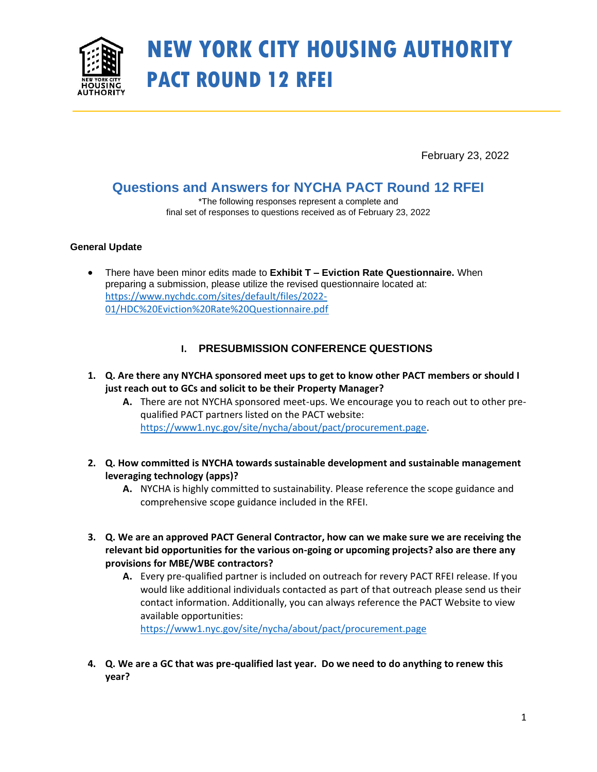

# **NEW YORK CITY HOUSING AUTHORITY PACT ROUND 12 RFEI**

February 23, 2022

# **Questions and Answers for NYCHA PACT Round 12 RFEI**

\*The following responses represent a complete and final set of responses to questions received as of February 23, 2022

### **General Update**

• There have been minor edits made to **Exhibit T – Eviction Rate Questionnaire.** When preparing a submission, please utilize the revised questionnaire located at: [https://www.nychdc.com/sites/default/files/2022-](https://gcc02.safelinks.protection.outlook.com/?url=https%3A%2F%2Fwww.nychdc.com%2Fsites%2Fdefault%2Ffiles%2F2022-01%2FHDC%2520Eviction%2520Rate%2520Questionnaire.pdf&data=04%7C01%7Cian.lundy%40nycha.nyc.gov%7Ce6b9cea2baff448527e008d9e0e68a45%7C709ab558a73c4f8f98ad20bb096cd0f8%7C0%7C0%7C637788103643410986%7CUnknown%7CTWFpbGZsb3d8eyJWIjoiMC4wLjAwMDAiLCJQIjoiV2luMzIiLCJBTiI6Ik1haWwiLCJXVCI6Mn0%3D%7C3000&sdata=SnKYwe%2Fn8RWBoih41d3kPsWctK%2B94ZbOelNZW7TAWjM%3D&reserved=0) [01/HDC%20Eviction%20Rate%20Questionnaire.pdf](https://gcc02.safelinks.protection.outlook.com/?url=https%3A%2F%2Fwww.nychdc.com%2Fsites%2Fdefault%2Ffiles%2F2022-01%2FHDC%2520Eviction%2520Rate%2520Questionnaire.pdf&data=04%7C01%7Cian.lundy%40nycha.nyc.gov%7Ce6b9cea2baff448527e008d9e0e68a45%7C709ab558a73c4f8f98ad20bb096cd0f8%7C0%7C0%7C637788103643410986%7CUnknown%7CTWFpbGZsb3d8eyJWIjoiMC4wLjAwMDAiLCJQIjoiV2luMzIiLCJBTiI6Ik1haWwiLCJXVCI6Mn0%3D%7C3000&sdata=SnKYwe%2Fn8RWBoih41d3kPsWctK%2B94ZbOelNZW7TAWjM%3D&reserved=0)

# **I. PRESUBMISSION CONFERENCE QUESTIONS**

- **1. Q. Are there any NYCHA sponsored meet ups to get to know other PACT members or should I just reach out to GCs and solicit to be their Property Manager?**
	- **A.** There are not NYCHA sponsored meet-ups. We encourage you to reach out to other prequalified PACT partners listed on the PACT website: [https://www1.nyc.gov/site/nycha/about/pact/procurement.page.](https://www1.nyc.gov/site/nycha/about/pact/procurement.page)
- **2. Q. How committed is NYCHA towards sustainable development and sustainable management leveraging technology (apps)?**
	- **A.** NYCHA is highly committed to sustainability. Please reference the scope guidance and comprehensive scope guidance included in the RFEI.
- **3. Q. We are an approved PACT General Contractor, how can we make sure we are receiving the relevant bid opportunities for the various on-going or upcoming projects? also are there any provisions for MBE/WBE contractors?**
	- **A.** Every pre-qualified partner is included on outreach for revery PACT RFEI release. If you would like additional individuals contacted as part of that outreach please send us their contact information. Additionally, you can always reference the PACT Website to view available opportunities:

<https://www1.nyc.gov/site/nycha/about/pact/procurement.page>

**4. Q. We are a GC that was pre-qualified last year. Do we need to do anything to renew this year?**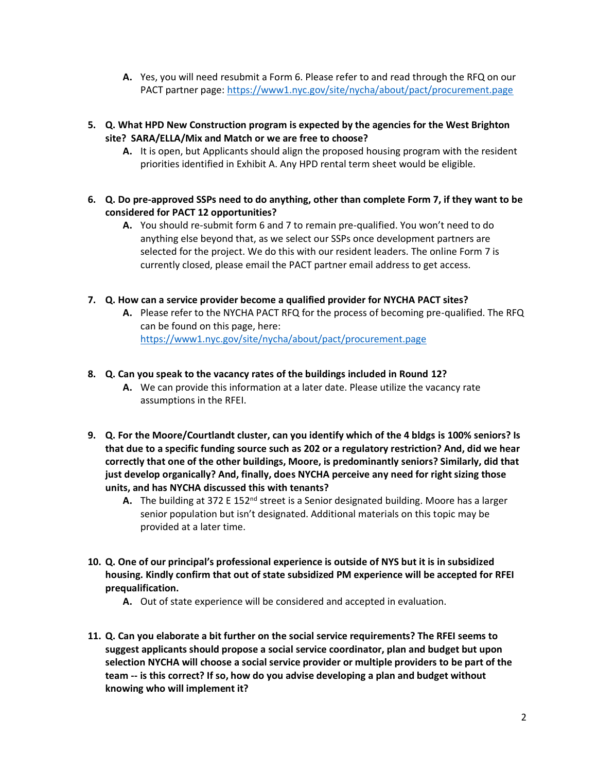- **A.** Yes, you will need resubmit a Form 6. Please refer to and read through the RFQ on our PACT partner page:<https://www1.nyc.gov/site/nycha/about/pact/procurement.page>
- **5. Q. What HPD New Construction program is expected by the agencies for the West Brighton site? SARA/ELLA/Mix and Match or we are free to choose?**
	- **A.** It is open, but Applicants should align the proposed housing program with the resident priorities identified in Exhibit A. Any HPD rental term sheet would be eligible.
- **6. Q. Do pre-approved SSPs need to do anything, other than complete Form 7, if they want to be considered for PACT 12 opportunities?**
	- **A.** You should re-submit form 6 and 7 to remain pre-qualified. You won't need to do anything else beyond that, as we select our SSPs once development partners are selected for the project. We do this with our resident leaders. The online Form 7 is currently closed, please email the PACT partner email address to get access.
- **7. Q. How can a service provider become a qualified provider for NYCHA PACT sites?**
	- **A.** Please refer to the NYCHA PACT RFQ for the process of becoming pre-qualified. The RFQ can be found on this page, here: <https://www1.nyc.gov/site/nycha/about/pact/procurement.page>
- **8. Q. Can you speak to the vacancy rates of the buildings included in Round 12?**
	- **A.** We can provide this information at a later date. Please utilize the vacancy rate assumptions in the RFEI.
- **9. Q. For the Moore/Courtlandt cluster, can you identify which of the 4 bldgs is 100% seniors? Is that due to a specific funding source such as 202 or a regulatory restriction? And, did we hear correctly that one of the other buildings, Moore, is predominantly seniors? Similarly, did that just develop organically? And, finally, does NYCHA perceive any need for right sizing those units, and has NYCHA discussed this with tenants?**
	- A. The building at 372 E 152<sup>nd</sup> street is a Senior designated building. Moore has a larger senior population but isn't designated. Additional materials on this topic may be provided at a later time.
- **10. Q. One of our principal's professional experience is outside of NYS but it is in subsidized housing. Kindly confirm that out of state subsidized PM experience will be accepted for RFEI prequalification.**
	- **A.** Out of state experience will be considered and accepted in evaluation.
- **11. Q. Can you elaborate a bit further on the social service requirements? The RFEI seems to suggest applicants should propose a social service coordinator, plan and budget but upon selection NYCHA will choose a social service provider or multiple providers to be part of the team -- is this correct? If so, how do you advise developing a plan and budget without knowing who will implement it?**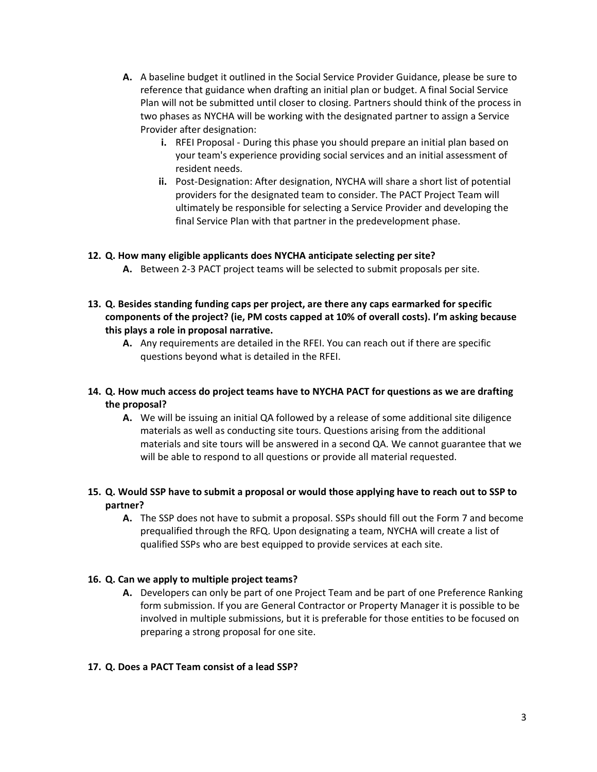- **A.** A baseline budget it outlined in the Social Service Provider Guidance, please be sure to reference that guidance when drafting an initial plan or budget. A final Social Service Plan will not be submitted until closer to closing. Partners should think of the process in two phases as NYCHA will be working with the designated partner to assign a Service Provider after designation:
	- **i.** RFEI Proposal During this phase you should prepare an initial plan based on your team's experience providing social services and an initial assessment of resident needs.
	- **ii.** Post-Designation: After designation, NYCHA will share a short list of potential providers for the designated team to consider. The PACT Project Team will ultimately be responsible for selecting a Service Provider and developing the final Service Plan with that partner in the predevelopment phase.

### **12. Q. How many eligible applicants does NYCHA anticipate selecting per site?**

- **A.** Between 2-3 PACT project teams will be selected to submit proposals per site.
- **13. Q. Besides standing funding caps per project, are there any caps earmarked for specific components of the project? (ie, PM costs capped at 10% of overall costs). I'm asking because this plays a role in proposal narrative.**
	- **A.** Any requirements are detailed in the RFEI. You can reach out if there are specific questions beyond what is detailed in the RFEI.

### **14. Q. How much access do project teams have to NYCHA PACT for questions as we are drafting the proposal?**

**A.** We will be issuing an initial QA followed by a release of some additional site diligence materials as well as conducting site tours. Questions arising from the additional materials and site tours will be answered in a second QA. We cannot guarantee that we will be able to respond to all questions or provide all material requested.

### **15. Q. Would SSP have to submit a proposal or would those applying have to reach out to SSP to partner?**

**A.** The SSP does not have to submit a proposal. SSPs should fill out the Form 7 and become prequalified through the RFQ. Upon designating a team, NYCHA will create a list of qualified SSPs who are best equipped to provide services at each site.

#### **16. Q. Can we apply to multiple project teams?**

**A.** Developers can only be part of one Project Team and be part of one Preference Ranking form submission. If you are General Contractor or Property Manager it is possible to be involved in multiple submissions, but it is preferable for those entities to be focused on preparing a strong proposal for one site.

#### **17. Q. Does a PACT Team consist of a lead SSP?**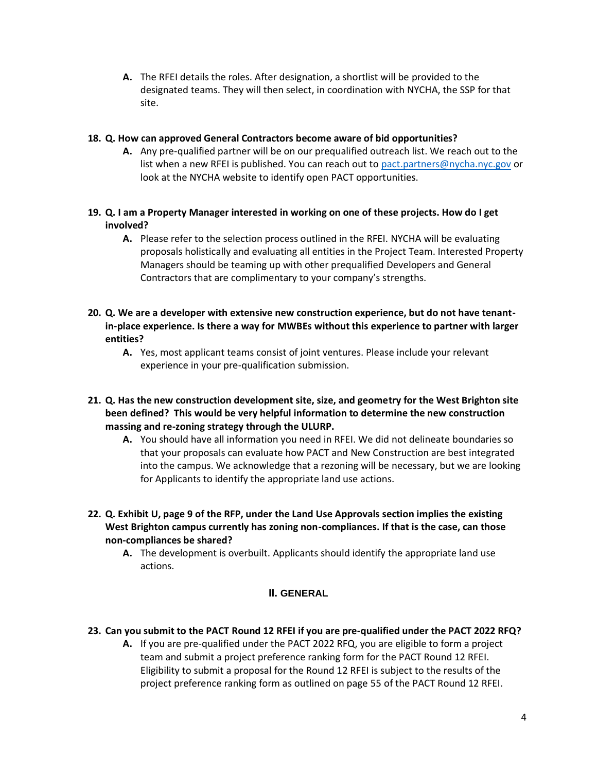**A.** The RFEI details the roles. After designation, a shortlist will be provided to the designated teams. They will then select, in coordination with NYCHA, the SSP for that site.

### **18. Q. How can approved General Contractors become aware of bid opportunities?**

**A.** Any pre-qualified partner will be on our prequalified outreach list. We reach out to the list when a new RFEI is published. You can reach out to [pact.partners@nycha.nyc.gov](mailto:pact.partners@nycha.nyc.gov) or look at the NYCHA website to identify open PACT opportunities.

# **19. Q. I am a Property Manager interested in working on one of these projects. How do I get involved?**

- **A.** Please refer to the selection process outlined in the RFEI. NYCHA will be evaluating proposals holistically and evaluating all entities in the Project Team. Interested Property Managers should be teaming up with other prequalified Developers and General Contractors that are complimentary to your company's strengths.
- **20. Q. We are a developer with extensive new construction experience, but do not have tenantin-place experience. Is there a way for MWBEs without this experience to partner with larger entities?**
	- **A.** Yes, most applicant teams consist of joint ventures. Please include your relevant experience in your pre-qualification submission.
- **21. Q. Has the new construction development site, size, and geometry for the West Brighton site been defined? This would be very helpful information to determine the new construction massing and re-zoning strategy through the ULURP.**
	- **A.** You should have all information you need in RFEI. We did not delineate boundaries so that your proposals can evaluate how PACT and New Construction are best integrated into the campus. We acknowledge that a rezoning will be necessary, but we are looking for Applicants to identify the appropriate land use actions.
- **22. Q. Exhibit U, page 9 of the RFP, under the Land Use Approvals section implies the existing West Brighton campus currently has zoning non-compliances. If that is the case, can those non-compliances be shared?**
	- **A.** The development is overbuilt. Applicants should identify the appropriate land use actions.

# **II. GENERAL**

# **23. Can you submit to the PACT Round 12 RFEI if you are pre-qualified under the PACT 2022 RFQ?**

**A.** If you are pre-qualified under the PACT 2022 RFQ, you are eligible to form a project team and submit a project preference ranking form for the PACT Round 12 RFEI. Eligibility to submit a proposal for the Round 12 RFEI is subject to the results of the project preference ranking form as outlined on page 55 of the PACT Round 12 RFEI.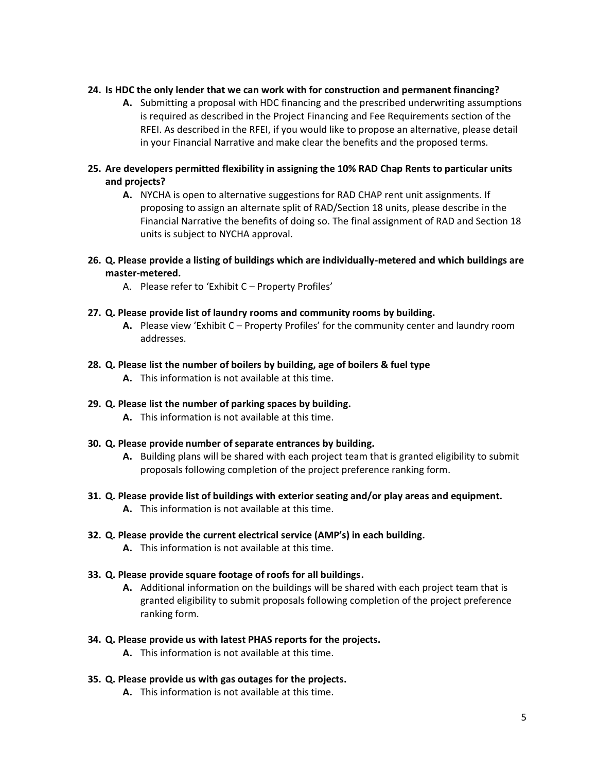#### **24. Is HDC the only lender that we can work with for construction and permanent financing?**

- **A.** Submitting a proposal with HDC financing and the prescribed underwriting assumptions is required as described in the Project Financing and Fee Requirements section of the RFEI. As described in the RFEI, if you would like to propose an alternative, please detail in your Financial Narrative and make clear the benefits and the proposed terms.
- **25. Are developers permitted flexibility in assigning the 10% RAD Chap Rents to particular units and projects?**
	- **A.** NYCHA is open to alternative suggestions for RAD CHAP rent unit assignments. If proposing to assign an alternate split of RAD/Section 18 units, please describe in the Financial Narrative the benefits of doing so. The final assignment of RAD and Section 18 units is subject to NYCHA approval.
- **26. Q. Please provide a listing of buildings which are individually-metered and which buildings are master-metered.**
	- A. Please refer to 'Exhibit C Property Profiles'

#### **27. Q. Please provide list of laundry rooms and community rooms by building.**

**A.** Please view 'Exhibit C – Property Profiles' for the community center and laundry room addresses.

### **28. Q. Please list the number of boilers by building, age of boilers & fuel type**

**A.** This information is not available at this time.

#### **29. Q. Please list the number of parking spaces by building.**

**A.** This information is not available at this time.

#### **30. Q. Please provide number of separate entrances by building.**

**A.** Building plans will be shared with each project team that is granted eligibility to submit proposals following completion of the project preference ranking form.

# **31. Q. Please provide list of buildings with exterior seating and/or play areas and equipment.**

**A.** This information is not available at this time.

# **32. Q. Please provide the current electrical service (AMP's) in each building.**

**A.** This information is not available at this time.

#### **33. Q. Please provide square footage of roofs for all buildings.**

**A.** Additional information on the buildings will be shared with each project team that is granted eligibility to submit proposals following completion of the project preference ranking form.

#### **34. Q. Please provide us with latest PHAS reports for the projects.**

**A.** This information is not available at this time.

# **35. Q. Please provide us with gas outages for the projects.**

**A.** This information is not available at this time.